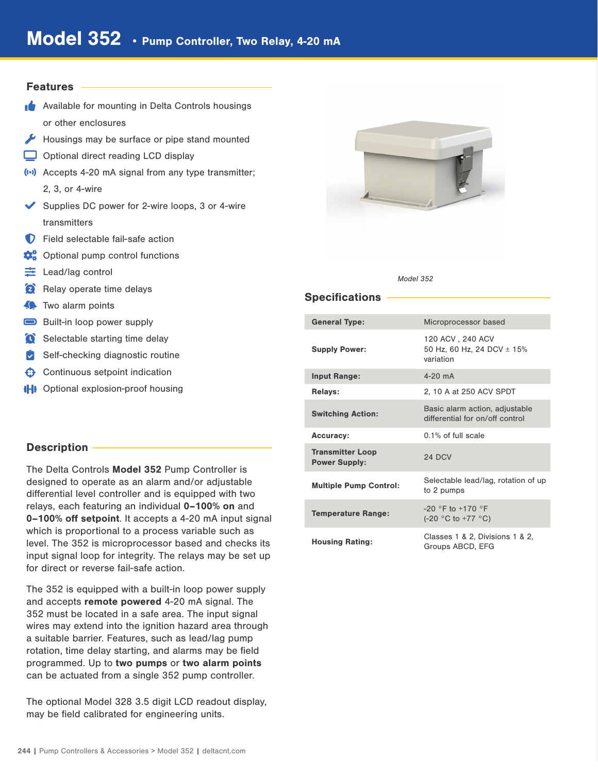## Features

- **Available for mounting in Delta Controls housings** or other enclosures
- Housings may be surface or pipe stand mounted
- Optional direct reading LCD display
- (··) Accepts 4-20 mA signal from any type transmitter; 2, 3, or 4-wire
- ◆ Supplies DC power for 2-wire loops, 3 or 4-wire transmitters
- **D** Field selectable fail-safe action
- $\mathbf{\Omega}_{\mathrm{B}}^{\mathrm{o}}$  Optional pump control functions
- $\equiv$  Lead/lag control
- Relay operate time delays
- **Two alarm points**
- Built-in loop power supply
- Selectable starting time delay
- $\triangleright$  Self-checking diagnostic routine
- $\bigoplus$  Continuous setpoint indication
- **IHI** Optional explosion-proof housing

# Description -

The Delta Controls Model 352 Pump Controller is designed to operate as an alarm and/or adjustable differential level controller and is equipped with two relays, each featuring an individual 0–100% on and 0–100% off setpoint. It accepts a 4-20 mA input signal which is proportional to a process variable such as level. The 352 is microprocessor based and checks its input signal loop for integrity. The relays may be set up for direct or reverse fail-safe action.

The 352 is equipped with a built-in loop power supply and accepts remote powered 4-20 mA signal. The 352 must be located in a safe area. The input signal wires may extend into the ignition hazard area through a suitable barrier. Features, such as lead/lag pump rotation, time delay starting, and alarms may be field programmed. Up to two pumps or two alarm points can be actuated from a single 352 pump controller.

The optional Model 328 3.5 digit LCD readout display, may be field calibrated for engineering units.



#### Model 352

# **Specifications**

| <b>General Type:</b>                            | Microprocessor based                                              |
|-------------------------------------------------|-------------------------------------------------------------------|
| <b>Supply Power:</b>                            | 120 ACV, 240 ACV<br>50 Hz, 60 Hz, 24 DCV $\pm$ 15%<br>variation   |
| <b>Input Range:</b>                             | $4-20$ mA                                                         |
| <b>Relays:</b>                                  | 2, 10 A at 250 ACV SPDT                                           |
| <b>Switching Action:</b>                        | Basic alarm action, adjustable<br>differential for on/off control |
| <b>Accuracy:</b>                                | $0.1\%$ of full scale                                             |
| <b>Transmitter Loop</b><br><b>Power Supply:</b> | 24 DCV                                                            |
| <b>Multiple Pump Control:</b>                   | Selectable lead/lag, rotation of up<br>to 2 pumps                 |
| <b>Temperature Range:</b>                       | $-20$ °F to $+170$ °F<br>$(-20 °C to +77 °C)$                     |
| <b>Housing Rating:</b>                          | Classes 1 & 2, Divisions 1 & 2,<br>Groups ABCD, EFG               |